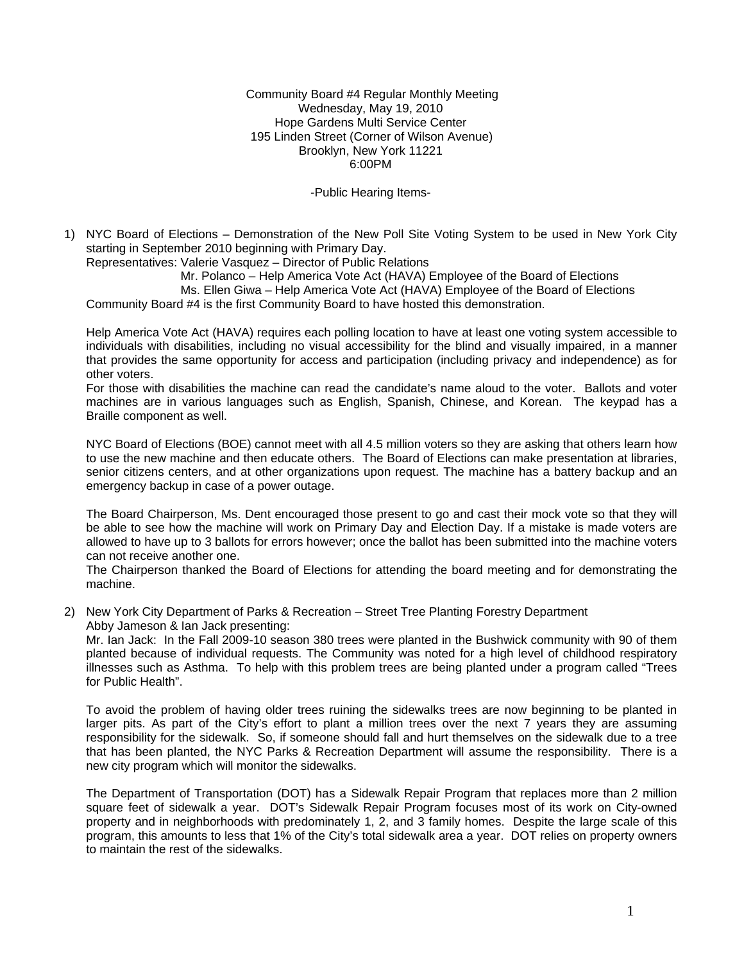Community Board #4 Regular Monthly Meeting Wednesday, May 19, 2010 Hope Gardens Multi Service Center 195 Linden Street (Corner of Wilson Avenue) Brooklyn, New York 11221 6:00PM

-Public Hearing Items-

1) NYC Board of Elections – Demonstration of the New Poll Site Voting System to be used in New York City starting in September 2010 beginning with Primary Day.

Representatives: Valerie Vasquez – Director of Public Relations

Mr. Polanco – Help America Vote Act (HAVA) Employee of the Board of Elections

Ms. Ellen Giwa – Help America Vote Act (HAVA) Employee of the Board of Elections

Community Board #4 is the first Community Board to have hosted this demonstration.

Help America Vote Act (HAVA) requires each polling location to have at least one voting system accessible to individuals with disabilities, including no visual accessibility for the blind and visually impaired, in a manner that provides the same opportunity for access and participation (including privacy and independence) as for other voters.

For those with disabilities the machine can read the candidate's name aloud to the voter. Ballots and voter machines are in various languages such as English, Spanish, Chinese, and Korean. The keypad has a Braille component as well.

NYC Board of Elections (BOE) cannot meet with all 4.5 million voters so they are asking that others learn how to use the new machine and then educate others. The Board of Elections can make presentation at libraries, senior citizens centers, and at other organizations upon request. The machine has a battery backup and an emergency backup in case of a power outage.

The Board Chairperson, Ms. Dent encouraged those present to go and cast their mock vote so that they will be able to see how the machine will work on Primary Day and Election Day. If a mistake is made voters are allowed to have up to 3 ballots for errors however; once the ballot has been submitted into the machine voters can not receive another one.

The Chairperson thanked the Board of Elections for attending the board meeting and for demonstrating the machine.

2) New York City Department of Parks & Recreation – Street Tree Planting Forestry Department Abby Jameson & Ian Jack presenting:

Mr. Ian Jack: In the Fall 2009-10 season 380 trees were planted in the Bushwick community with 90 of them planted because of individual requests. The Community was noted for a high level of childhood respiratory illnesses such as Asthma. To help with this problem trees are being planted under a program called "Trees for Public Health".

To avoid the problem of having older trees ruining the sidewalks trees are now beginning to be planted in larger pits. As part of the City's effort to plant a million trees over the next 7 years they are assuming responsibility for the sidewalk. So, if someone should fall and hurt themselves on the sidewalk due to a tree that has been planted, the NYC Parks & Recreation Department will assume the responsibility. There is a new city program which will monitor the sidewalks.

The Department of Transportation (DOT) has a Sidewalk Repair Program that replaces more than 2 million square feet of sidewalk a year. DOT's Sidewalk Repair Program focuses most of its work on City-owned property and in neighborhoods with predominately 1, 2, and 3 family homes. Despite the large scale of this program, this amounts to less that 1% of the City's total sidewalk area a year. DOT relies on property owners to maintain the rest of the sidewalks.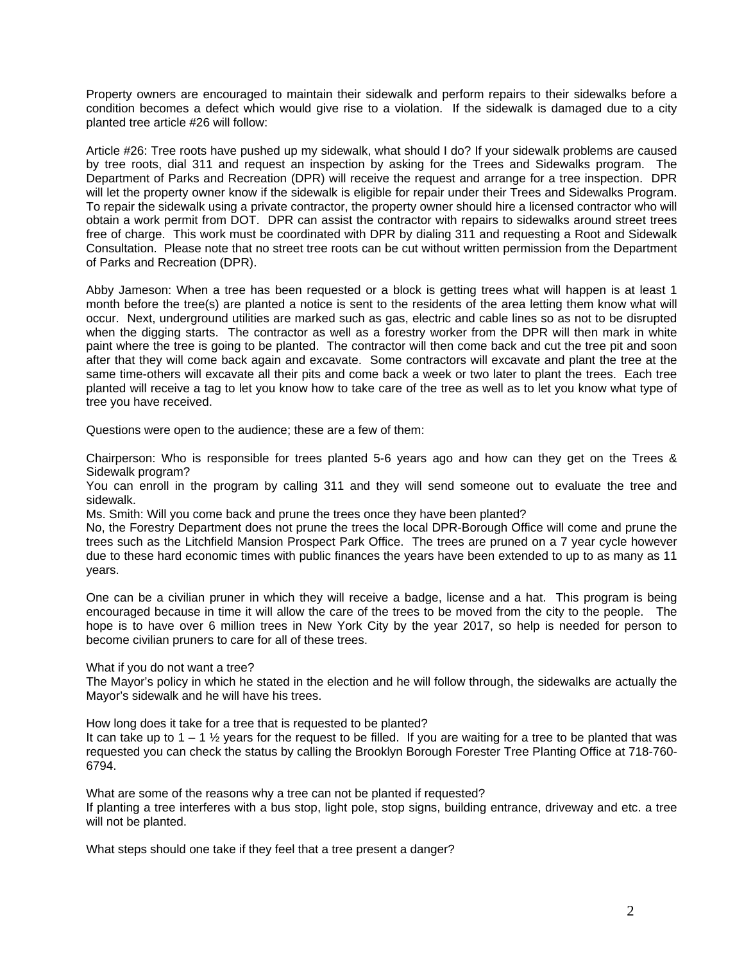Property owners are encouraged to maintain their sidewalk and perform repairs to their sidewalks before a condition becomes a defect which would give rise to a violation. If the sidewalk is damaged due to a city planted tree article #26 will follow:

Article #26: Tree roots have pushed up my sidewalk, what should I do? If your sidewalk problems are caused by tree roots, dial 311 and request an inspection by asking for the Trees and Sidewalks program. The Department of Parks and Recreation (DPR) will receive the request and arrange for a tree inspection. DPR will let the property owner know if the sidewalk is eligible for repair under their Trees and Sidewalks Program. To repair the sidewalk using a private contractor, the property owner should hire a licensed contractor who will obtain a work permit from DOT. DPR can assist the contractor with repairs to sidewalks around street trees free of charge. This work must be coordinated with DPR by dialing 311 and requesting a Root and Sidewalk Consultation. Please note that no street tree roots can be cut without written permission from the Department of Parks and Recreation (DPR).

Abby Jameson: When a tree has been requested or a block is getting trees what will happen is at least 1 month before the tree(s) are planted a notice is sent to the residents of the area letting them know what will occur. Next, underground utilities are marked such as gas, electric and cable lines so as not to be disrupted when the digging starts. The contractor as well as a forestry worker from the DPR will then mark in white paint where the tree is going to be planted. The contractor will then come back and cut the tree pit and soon after that they will come back again and excavate. Some contractors will excavate and plant the tree at the same time-others will excavate all their pits and come back a week or two later to plant the trees. Each tree planted will receive a tag to let you know how to take care of the tree as well as to let you know what type of tree you have received.

Questions were open to the audience; these are a few of them:

Chairperson: Who is responsible for trees planted 5-6 years ago and how can they get on the Trees & Sidewalk program?

You can enroll in the program by calling 311 and they will send someone out to evaluate the tree and sidewalk.

Ms. Smith: Will you come back and prune the trees once they have been planted?

No, the Forestry Department does not prune the trees the local DPR-Borough Office will come and prune the trees such as the Litchfield Mansion Prospect Park Office. The trees are pruned on a 7 year cycle however due to these hard economic times with public finances the years have been extended to up to as many as 11 years.

One can be a civilian pruner in which they will receive a badge, license and a hat. This program is being encouraged because in time it will allow the care of the trees to be moved from the city to the people. The hope is to have over 6 million trees in New York City by the year 2017, so help is needed for person to become civilian pruners to care for all of these trees.

What if you do not want a tree?

The Mayor's policy in which he stated in the election and he will follow through, the sidewalks are actually the Mayor's sidewalk and he will have his trees.

How long does it take for a tree that is requested to be planted?

It can take up to  $1 - 1 \frac{1}{2}$  years for the request to be filled. If you are waiting for a tree to be planted that was requested you can check the status by calling the Brooklyn Borough Forester Tree Planting Office at 718-760- 6794.

What are some of the reasons why a tree can not be planted if requested?

If planting a tree interferes with a bus stop, light pole, stop signs, building entrance, driveway and etc. a tree will not be planted.

What steps should one take if they feel that a tree present a danger?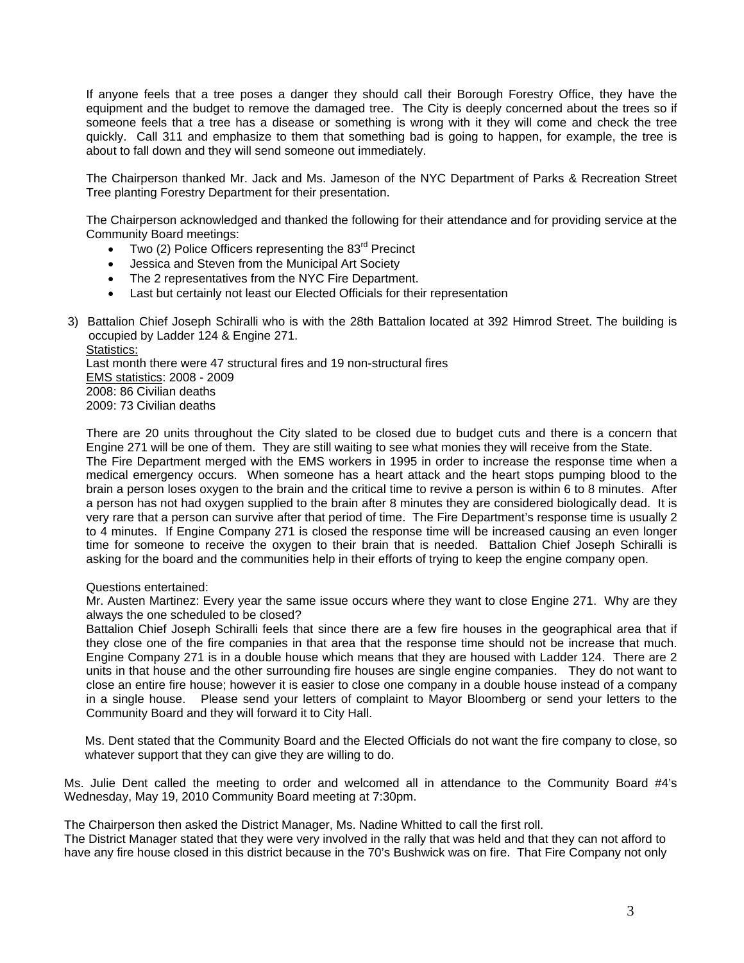If anyone feels that a tree poses a danger they should call their Borough Forestry Office, they have the equipment and the budget to remove the damaged tree. The City is deeply concerned about the trees so if someone feels that a tree has a disease or something is wrong with it they will come and check the tree quickly. Call 311 and emphasize to them that something bad is going to happen, for example, the tree is about to fall down and they will send someone out immediately.

The Chairperson thanked Mr. Jack and Ms. Jameson of the NYC Department of Parks & Recreation Street Tree planting Forestry Department for their presentation.

The Chairperson acknowledged and thanked the following for their attendance and for providing service at the Community Board meetings:

- Two (2) Police Officers representing the  $83<sup>rd</sup>$  Precinct
- Jessica and Steven from the Municipal Art Society
- The 2 representatives from the NYC Fire Department.
- Last but certainly not least our Elected Officials for their representation
- 3) Battalion Chief Joseph Schiralli who is with the 28th Battalion located at 392 Himrod Street. The building is occupied by Ladder 124 & Engine 271. Statistics:

Last month there were 47 structural fires and 19 non-structural fires EMS statistics: 2008 - 2009 2008: 86 Civilian deaths 2009: 73 Civilian deaths

There are 20 units throughout the City slated to be closed due to budget cuts and there is a concern that Engine 271 will be one of them. They are still waiting to see what monies they will receive from the State. The Fire Department merged with the EMS workers in 1995 in order to increase the response time when a medical emergency occurs. When someone has a heart attack and the heart stops pumping blood to the brain a person loses oxygen to the brain and the critical time to revive a person is within 6 to 8 minutes. After a person has not had oxygen supplied to the brain after 8 minutes they are considered biologically dead. It is very rare that a person can survive after that period of time. The Fire Department's response time is usually 2 to 4 minutes. If Engine Company 271 is closed the response time will be increased causing an even longer time for someone to receive the oxygen to their brain that is needed. Battalion Chief Joseph Schiralli is asking for the board and the communities help in their efforts of trying to keep the engine company open.

#### Questions entertained:

Mr. Austen Martinez: Every year the same issue occurs where they want to close Engine 271. Why are they always the one scheduled to be closed?

Battalion Chief Joseph Schiralli feels that since there are a few fire houses in the geographical area that if they close one of the fire companies in that area that the response time should not be increase that much. Engine Company 271 is in a double house which means that they are housed with Ladder 124. There are 2 units in that house and the other surrounding fire houses are single engine companies. They do not want to close an entire fire house; however it is easier to close one company in a double house instead of a company in a single house. Please send your letters of complaint to Mayor Bloomberg or send your letters to the Community Board and they will forward it to City Hall.

Ms. Dent stated that the Community Board and the Elected Officials do not want the fire company to close, so whatever support that they can give they are willing to do.

Ms. Julie Dent called the meeting to order and welcomed all in attendance to the Community Board #4's Wednesday, May 19, 2010 Community Board meeting at 7:30pm.

The Chairperson then asked the District Manager, Ms. Nadine Whitted to call the first roll.

The District Manager stated that they were very involved in the rally that was held and that they can not afford to have any fire house closed in this district because in the 70's Bushwick was on fire. That Fire Company not only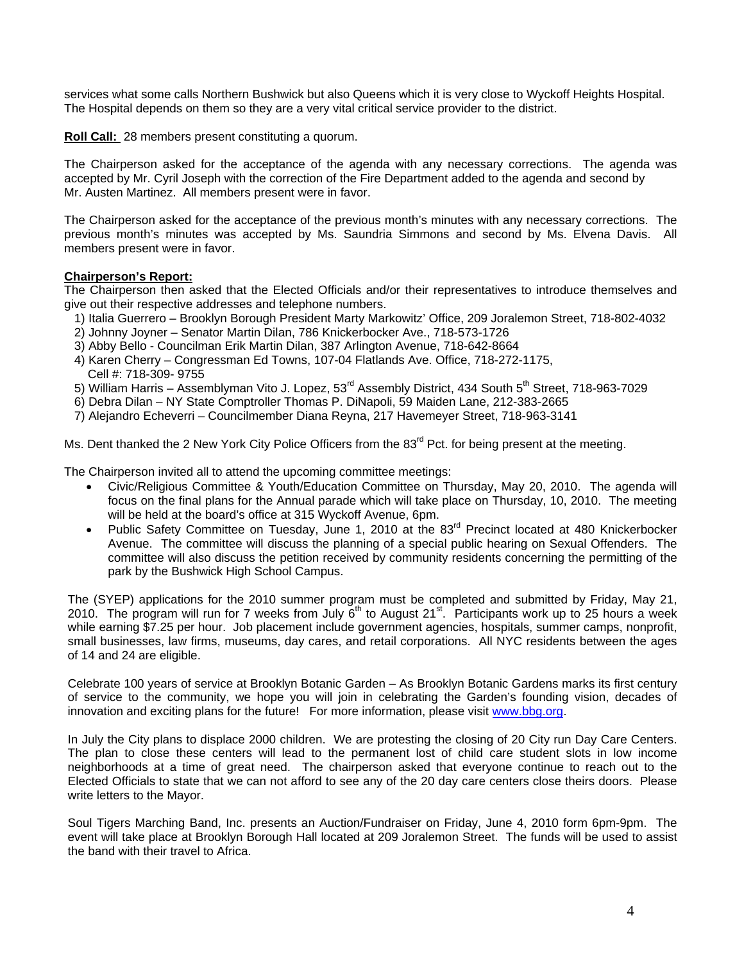services what some calls Northern Bushwick but also Queens which it is very close to Wyckoff Heights Hospital. The Hospital depends on them so they are a very vital critical service provider to the district.

**Roll Call:** 28 members present constituting a quorum.

The Chairperson asked for the acceptance of the agenda with any necessary corrections. The agenda was accepted by Mr. Cyril Joseph with the correction of the Fire Department added to the agenda and second by Mr. Austen Martinez. All members present were in favor.

The Chairperson asked for the acceptance of the previous month's minutes with any necessary corrections. The previous month's minutes was accepted by Ms. Saundria Simmons and second by Ms. Elvena Davis. All members present were in favor.

### **Chairperson's Report:**

The Chairperson then asked that the Elected Officials and/or their representatives to introduce themselves and give out their respective addresses and telephone numbers.

- 1) Italia Guerrero Brooklyn Borough President Marty Markowitz' Office, 209 Joralemon Street, 718-802-4032
- 2) Johnny Joyner Senator Martin Dilan, 786 Knickerbocker Ave., 718-573-1726
- 3) Abby Bello Councilman Erik Martin Dilan, 387 Arlington Avenue, 718-642-8664
- 4) Karen Cherry Congressman Ed Towns, 107-04 Flatlands Ave. Office, 718-272-1175, Cell #: 718-309- 9755
- 5) William Harris Assemblyman Vito J. Lopez, 53<sup>rd</sup> Assembly District, 434 South 5<sup>th</sup> Street, 718-963-7029
- 6) Debra Dilan NY State Comptroller Thomas P. DiNapoli, 59 Maiden Lane, 212-383-2665
- 7) Alejandro Echeverri Councilmember Diana Reyna, 217 Havemeyer Street, 718-963-3141

Ms. Dent thanked the 2 New York City Police Officers from the  $83<sup>rd</sup>$  Pct. for being present at the meeting.

The Chairperson invited all to attend the upcoming committee meetings:

- Civic/Religious Committee & Youth/Education Committee on Thursday, May 20, 2010. The agenda will focus on the final plans for the Annual parade which will take place on Thursday, 10, 2010. The meeting will be held at the board's office at 315 Wyckoff Avenue, 6pm.
- Public Safety Committee on Tuesday, June 1, 2010 at the 83<sup>rd</sup> Precinct located at 480 Knickerbocker Avenue. The committee will discuss the planning of a special public hearing on Sexual Offenders. The committee will also discuss the petition received by community residents concerning the permitting of the park by the Bushwick High School Campus.

The (SYEP) applications for the 2010 summer program must be completed and submitted by Friday, May 21, 2010. The program will run for 7 weeks from July  $6<sup>th</sup>$  to August 21<sup>st</sup>. Participants work up to 25 hours a week while earning \$7.25 per hour. Job placement include government agencies, hospitals, summer camps, nonprofit, small businesses, law firms, museums, day cares, and retail corporations. All NYC residents between the ages of 14 and 24 are eligible.

Celebrate 100 years of service at Brooklyn Botanic Garden – As Brooklyn Botanic Gardens marks its first century of service to the community, we hope you will join in celebrating the Garden's founding vision, decades of innovation and exciting plans for the future! For more information, please visit www.bbg.org.

In July the City plans to displace 2000 children. We are protesting the closing of 20 City run Day Care Centers. The plan to close these centers will lead to the permanent lost of child care student slots in low income neighborhoods at a time of great need. The chairperson asked that everyone continue to reach out to the Elected Officials to state that we can not afford to see any of the 20 day care centers close theirs doors. Please write letters to the Mayor.

Soul Tigers Marching Band, Inc. presents an Auction/Fundraiser on Friday, June 4, 2010 form 6pm-9pm. The event will take place at Brooklyn Borough Hall located at 209 Joralemon Street. The funds will be used to assist the band with their travel to Africa.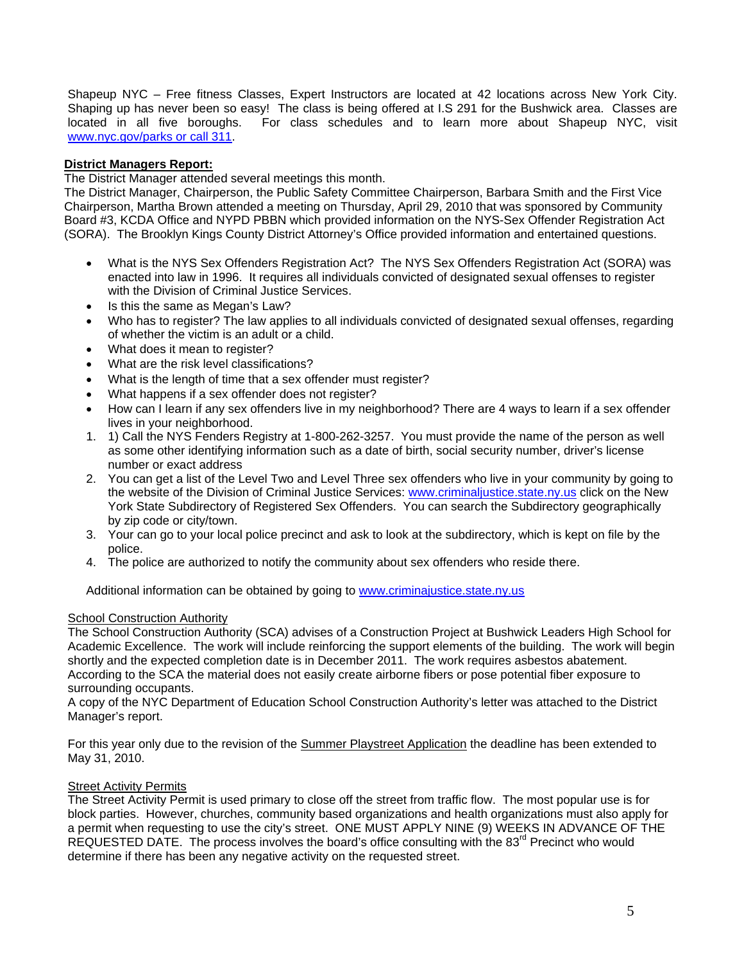Shapeup NYC – Free fitness Classes, Expert Instructors are located at 42 locations across New York City. Shaping up has never been so easy! The class is being offered at I.S 291 for the Bushwick area. Classes are located in all five boroughs. For class schedules and to learn more about Shapeup NYC, visit www.nyc.gov/parks or call 311.

# **District Managers Report:**

The District Manager attended several meetings this month.

The District Manager, Chairperson, the Public Safety Committee Chairperson, Barbara Smith and the First Vice Chairperson, Martha Brown attended a meeting on Thursday, April 29, 2010 that was sponsored by Community Board #3, KCDA Office and NYPD PBBN which provided information on the NYS-Sex Offender Registration Act (SORA). The Brooklyn Kings County District Attorney's Office provided information and entertained questions.

- What is the NYS Sex Offenders Registration Act? The NYS Sex Offenders Registration Act (SORA) was enacted into law in 1996. It requires all individuals convicted of designated sexual offenses to register with the Division of Criminal Justice Services.
- Is this the same as Megan's Law?
- Who has to register? The law applies to all individuals convicted of designated sexual offenses, regarding of whether the victim is an adult or a child.
- What does it mean to register?
- What are the risk level classifications?
- What is the length of time that a sex offender must register?
- What happens if a sex offender does not register?
- How can I learn if any sex offenders live in my neighborhood? There are 4 ways to learn if a sex offender lives in your neighborhood.
- 1. 1) Call the NYS Fenders Registry at 1-800-262-3257. You must provide the name of the person as well as some other identifying information such as a date of birth, social security number, driver's license number or exact address
- 2. You can get a list of the Level Two and Level Three sex offenders who live in your community by going to the website of the Division of Criminal Justice Services: www.criminaljustice.state.ny.us click on the New York State Subdirectory of Registered Sex Offenders. You can search the Subdirectory geographically by zip code or city/town.
- 3. Your can go to your local police precinct and ask to look at the subdirectory, which is kept on file by the police.
- 4. The police are authorized to notify the community about sex offenders who reside there.

Additional information can be obtained by going to www.criminajustice.state.ny.us

#### School Construction Authority

The School Construction Authority (SCA) advises of a Construction Project at Bushwick Leaders High School for Academic Excellence. The work will include reinforcing the support elements of the building. The work will begin shortly and the expected completion date is in December 2011. The work requires asbestos abatement. According to the SCA the material does not easily create airborne fibers or pose potential fiber exposure to surrounding occupants.

A copy of the NYC Department of Education School Construction Authority's letter was attached to the District Manager's report.

For this year only due to the revision of the Summer Playstreet Application the deadline has been extended to May 31, 2010.

#### Street Activity Permits

The Street Activity Permit is used primary to close off the street from traffic flow. The most popular use is for block parties. However, churches, community based organizations and health organizations must also apply for a permit when requesting to use the city's street. ONE MUST APPLY NINE (9) WEEKS IN ADVANCE OF THE REQUESTED DATE. The process involves the board's office consulting with the  $83<sup>rd</sup>$  Precinct who would determine if there has been any negative activity on the requested street.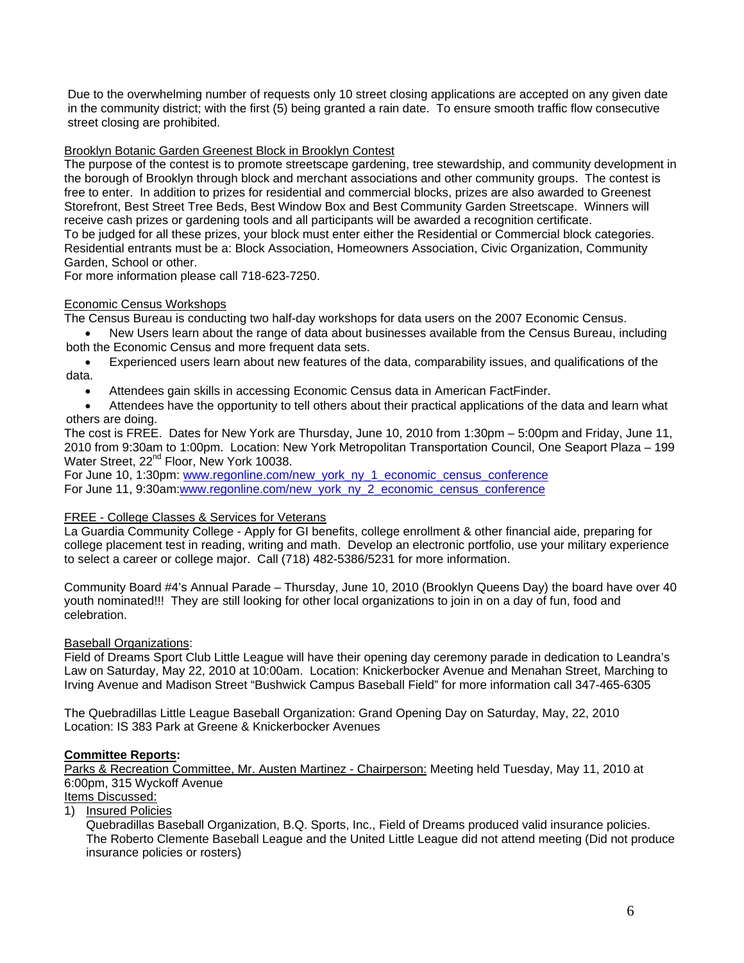Due to the overwhelming number of requests only 10 street closing applications are accepted on any given date in the community district; with the first (5) being granted a rain date. To ensure smooth traffic flow consecutive street closing are prohibited.

# Brooklyn Botanic Garden Greenest Block in Brooklyn Contest

The purpose of the contest is to promote streetscape gardening, tree stewardship, and community development in the borough of Brooklyn through block and merchant associations and other community groups. The contest is free to enter. In addition to prizes for residential and commercial blocks, prizes are also awarded to Greenest Storefront, Best Street Tree Beds, Best Window Box and Best Community Garden Streetscape. Winners will receive cash prizes or gardening tools and all participants will be awarded a recognition certificate. To be judged for all these prizes, your block must enter either the Residential or Commercial block categories. Residential entrants must be a: Block Association, Homeowners Association, Civic Organization, Community Garden, School or other.

For more information please call 718-623-7250.

# Economic Census Workshops

The Census Bureau is conducting two half-day workshops for data users on the 2007 Economic Census.

• New Users learn about the range of data about businesses available from the Census Bureau, including both the Economic Census and more frequent data sets.

• Experienced users learn about new features of the data, comparability issues, and qualifications of the data.

• Attendees gain skills in accessing Economic Census data in American FactFinder.

• Attendees have the opportunity to tell others about their practical applications of the data and learn what others are doing.

The cost is FREE. Dates for New York are Thursday, June 10, 2010 from 1:30pm – 5:00pm and Friday, June 11, 2010 from 9:30am to 1:00pm. Location: New York Metropolitan Transportation Council, One Seaport Plaza – 199 Water Street, 22<sup>nd</sup> Floor, New York 10038.

For June 10, 1:30pm: www.regonline.com/new\_york\_ny\_1\_economic\_census\_conference For June 11, 9:30am:www.regonline.com/new\_york\_ny\_2\_economic\_census\_conference

### FREE - College Classes & Services for Veterans

La Guardia Community College - Apply for GI benefits, college enrollment & other financial aide, preparing for college placement test in reading, writing and math. Develop an electronic portfolio, use your military experience to select a career or college major. Call (718) 482-5386/5231 for more information.

Community Board #4's Annual Parade – Thursday, June 10, 2010 (Brooklyn Queens Day) the board have over 40 youth nominated!!! They are still looking for other local organizations to join in on a day of fun, food and celebration.

### Baseball Organizations:

Field of Dreams Sport Club Little League will have their opening day ceremony parade in dedication to Leandra's Law on Saturday, May 22, 2010 at 10:00am. Location: Knickerbocker Avenue and Menahan Street, Marching to Irving Avenue and Madison Street "Bushwick Campus Baseball Field" for more information call 347-465-6305

The Quebradillas Little League Baseball Organization: Grand Opening Day on Saturday, May, 22, 2010 Location: IS 383 Park at Greene & Knickerbocker Avenues

### **Committee Reports:**

Parks & Recreation Committee, Mr. Austen Martinez - Chairperson: Meeting held Tuesday, May 11, 2010 at 6:00pm, 315 Wyckoff Avenue

Items Discussed:

1) Insured Policies

Quebradillas Baseball Organization, B.Q. Sports, Inc., Field of Dreams produced valid insurance policies. The Roberto Clemente Baseball League and the United Little League did not attend meeting (Did not produce insurance policies or rosters)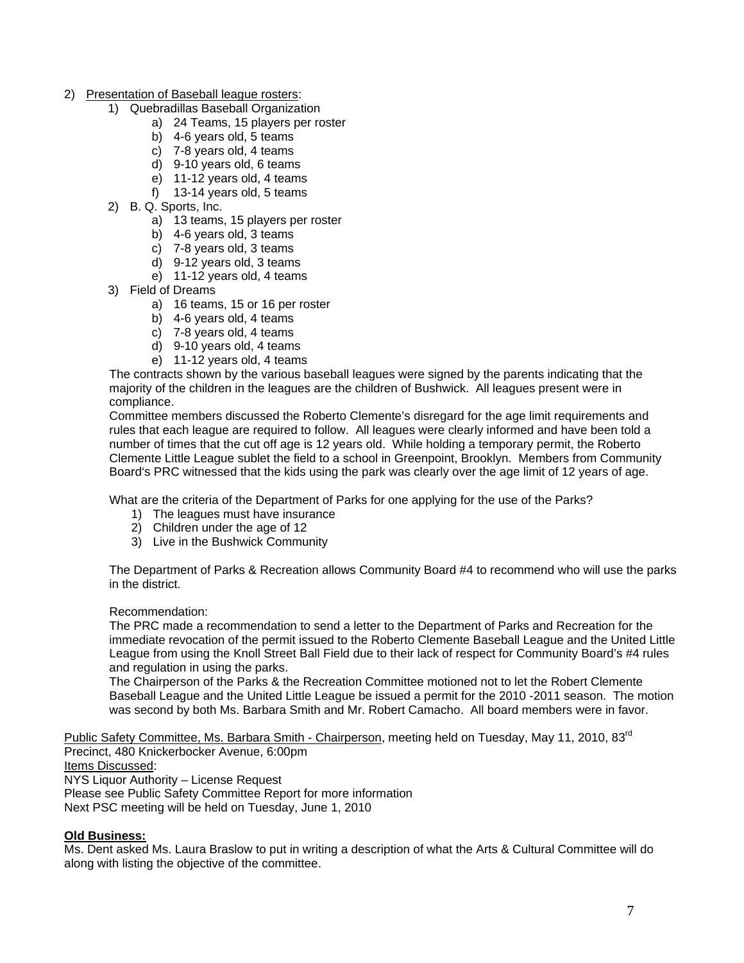- 2) Presentation of Baseball league rosters:
	- 1) Quebradillas Baseball Organization
		- a) 24 Teams, 15 players per roster
		- b) 4-6 years old, 5 teams
		- c) 7-8 years old, 4 teams
		- d) 9-10 years old, 6 teams
		- e) 11-12 years old, 4 teams
		- f) 13-14 years old, 5 teams
	- 2) B. Q. Sports, Inc.
		- a) 13 teams, 15 players per roster
		- b) 4-6 years old, 3 teams
		- c) 7-8 years old, 3 teams
		- d) 9-12 years old, 3 teams
		- e) 11-12 years old, 4 teams
	- 3) Field of Dreams
		- a) 16 teams, 15 or 16 per roster
		- b) 4-6 years old, 4 teams
		- c) 7-8 years old, 4 teams
		- d) 9-10 years old, 4 teams
		- e) 11-12 years old, 4 teams

The contracts shown by the various baseball leagues were signed by the parents indicating that the majority of the children in the leagues are the children of Bushwick. All leagues present were in compliance.

Committee members discussed the Roberto Clemente's disregard for the age limit requirements and rules that each league are required to follow. All leagues were clearly informed and have been told a number of times that the cut off age is 12 years old. While holding a temporary permit, the Roberto Clemente Little League sublet the field to a school in Greenpoint, Brooklyn. Members from Community Board's PRC witnessed that the kids using the park was clearly over the age limit of 12 years of age.

What are the criteria of the Department of Parks for one applying for the use of the Parks?

- 1) The leagues must have insurance
- 2) Children under the age of 12
- 3) Live in the Bushwick Community

The Department of Parks & Recreation allows Community Board #4 to recommend who will use the parks in the district.

#### Recommendation:

The PRC made a recommendation to send a letter to the Department of Parks and Recreation for the immediate revocation of the permit issued to the Roberto Clemente Baseball League and the United Little League from using the Knoll Street Ball Field due to their lack of respect for Community Board's #4 rules and regulation in using the parks.

The Chairperson of the Parks & the Recreation Committee motioned not to let the Robert Clemente Baseball League and the United Little League be issued a permit for the 2010 -2011 season. The motion was second by both Ms. Barbara Smith and Mr. Robert Camacho. All board members were in favor.

Public Safety Committee, Ms. Barbara Smith - Chairperson, meeting held on Tuesday, May 11, 2010, 83<sup>rd</sup> Precinct, 480 Knickerbocker Avenue, 6:00pm Items Discussed: NYS Liquor Authority – License Request Please see Public Safety Committee Report for more information Next PSC meeting will be held on Tuesday, June 1, 2010

### **Old Business:**

Ms. Dent asked Ms. Laura Braslow to put in writing a description of what the Arts & Cultural Committee will do along with listing the objective of the committee.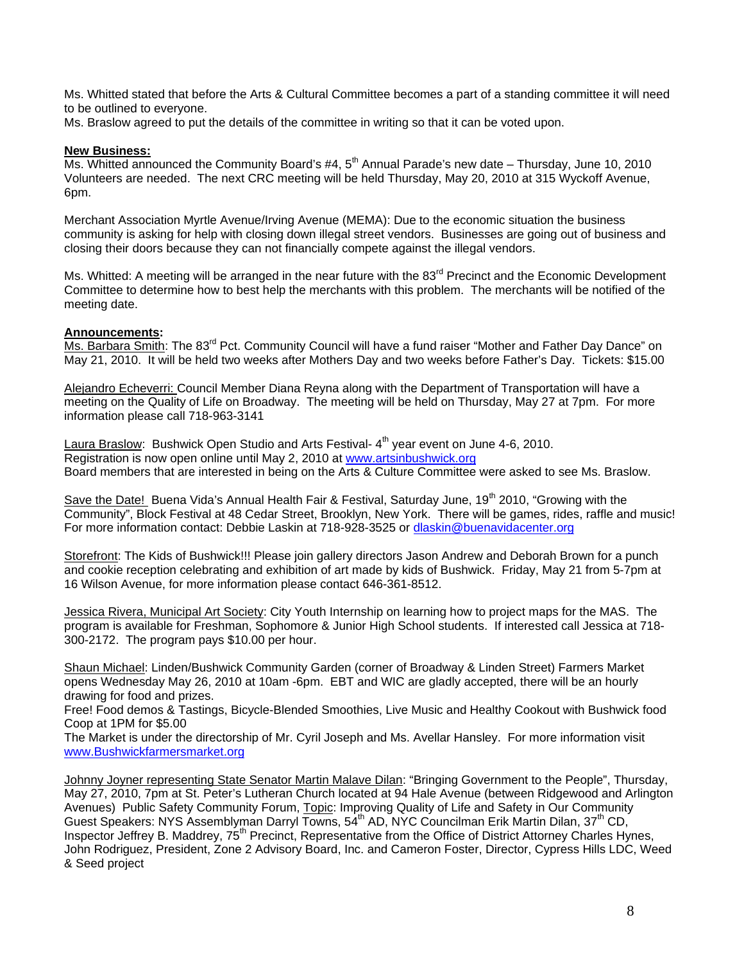Ms. Whitted stated that before the Arts & Cultural Committee becomes a part of a standing committee it will need to be outlined to everyone.

Ms. Braslow agreed to put the details of the committee in writing so that it can be voted upon.

#### **New Business:**

Ms. Whitted announced the Community Board's #4,  $5<sup>th</sup>$  Annual Parade's new date – Thursday, June 10, 2010 Volunteers are needed. The next CRC meeting will be held Thursday, May 20, 2010 at 315 Wyckoff Avenue, 6pm.

Merchant Association Myrtle Avenue/Irving Avenue (MEMA): Due to the economic situation the business community is asking for help with closing down illegal street vendors. Businesses are going out of business and closing their doors because they can not financially compete against the illegal vendors.

Ms. Whitted: A meeting will be arranged in the near future with the 83<sup>rd</sup> Precinct and the Economic Development Committee to determine how to best help the merchants with this problem. The merchants will be notified of the meeting date.

#### **Announcements:**

Ms. Barbara Smith: The 83<sup>rd</sup> Pct. Community Council will have a fund raiser "Mother and Father Day Dance" on May 21, 2010. It will be held two weeks after Mothers Day and two weeks before Father's Day. Tickets: \$15.00

Alejandro Echeverri: Council Member Diana Reyna along with the Department of Transportation will have a meeting on the Quality of Life on Broadway. The meeting will be held on Thursday, May 27 at 7pm. For more information please call 718-963-3141

Laura Braslow: Bushwick Open Studio and Arts Festival-4<sup>th</sup> year event on June 4-6, 2010. Registration is now open online until May 2, 2010 at www.artsinbushwick.org Board members that are interested in being on the Arts & Culture Committee were asked to see Ms. Braslow.

Save the Date! Buena Vida's Annual Health Fair & Festival, Saturday June, 19<sup>th</sup> 2010, "Growing with the Community", Block Festival at 48 Cedar Street, Brooklyn, New York. There will be games, rides, raffle and music! For more information contact: Debbie Laskin at 718-928-3525 or dlaskin@buenavidacenter.org

Storefront: The Kids of Bushwick!!! Please join gallery directors Jason Andrew and Deborah Brown for a punch and cookie reception celebrating and exhibition of art made by kids of Bushwick. Friday, May 21 from 5-7pm at 16 Wilson Avenue, for more information please contact 646-361-8512.

Jessica Rivera, Municipal Art Society: City Youth Internship on learning how to project maps for the MAS. The program is available for Freshman, Sophomore & Junior High School students. If interested call Jessica at 718- 300-2172. The program pays \$10.00 per hour.

Shaun Michael: Linden/Bushwick Community Garden (corner of Broadway & Linden Street) Farmers Market opens Wednesday May 26, 2010 at 10am -6pm. EBT and WIC are gladly accepted, there will be an hourly drawing for food and prizes.

Free! Food demos & Tastings, Bicycle-Blended Smoothies, Live Music and Healthy Cookout with Bushwick food Coop at 1PM for \$5.00

The Market is under the directorship of Mr. Cyril Joseph and Ms. Avellar Hansley. For more information visit www.Bushwickfarmersmarket.org

Johnny Joyner representing State Senator Martin Malave Dilan: "Bringing Government to the People", Thursday, May 27, 2010, 7pm at St. Peter's Lutheran Church located at 94 Hale Avenue (between Ridgewood and Arlington Avenues) Public Safety Community Forum, Topic: Improving Quality of Life and Safety in Our Community Guest Speakers: NYS Assemblyman Darryl Towns, 54<sup>th</sup> AD, NYC Councilman Erik Martin Dilan, 37<sup>th</sup> CD, Inspector Jeffrey B. Maddrey, 75<sup>th</sup> Precinct, Representative from the Office of District Attorney Charles Hynes, John Rodriguez, President, Zone 2 Advisory Board, Inc. and Cameron Foster, Director, Cypress Hills LDC, Weed & Seed project